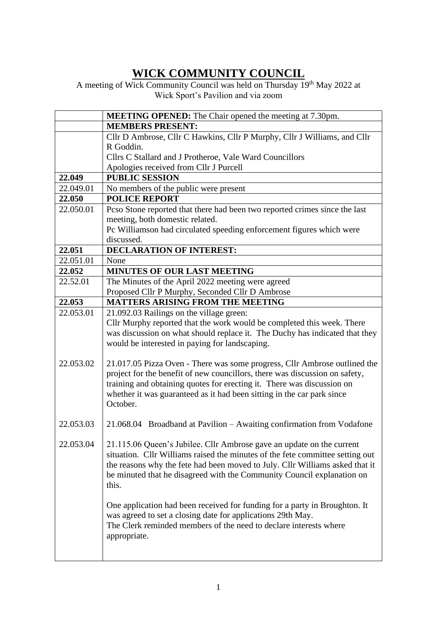## **WICK COMMUNITY COUNCIL**

A meeting of Wick Community Council was held on Thursday 19<sup>th</sup> May 2022 at Wick Sport's Pavilion and via zoom

|           | <b>MEETING OPENED:</b> The Chair opened the meeting at 7.30pm.                                                                                                |
|-----------|---------------------------------------------------------------------------------------------------------------------------------------------------------------|
|           | <b>MEMBERS PRESENT:</b>                                                                                                                                       |
|           | Cllr D Ambrose, Cllr C Hawkins, Cllr P Murphy, Cllr J Williams, and Cllr                                                                                      |
|           | R Goddin.                                                                                                                                                     |
|           | Cllrs C Stallard and J Protheroe, Vale Ward Councillors                                                                                                       |
|           | Apologies received from Cllr J Purcell                                                                                                                        |
| 22.049    | <b>PUBLIC SESSION</b>                                                                                                                                         |
| 22.049.01 | No members of the public were present                                                                                                                         |
| 22.050    | <b>POLICE REPORT</b>                                                                                                                                          |
| 22.050.01 | Pcso Stone reported that there had been two reported crimes since the last                                                                                    |
|           | meeting, both domestic related.                                                                                                                               |
|           | Pc Williamson had circulated speeding enforcement figures which were                                                                                          |
|           | discussed.                                                                                                                                                    |
| 22.051    | <b>DECLARATION OF INTEREST:</b>                                                                                                                               |
| 22.051.01 | None                                                                                                                                                          |
| 22.052    | <b>MINUTES OF OUR LAST MEETING</b>                                                                                                                            |
| 22.52.01  | The Minutes of the April 2022 meeting were agreed                                                                                                             |
|           | Proposed Cllr P Murphy, Seconded Cllr D Ambrose                                                                                                               |
| 22.053    | <b>MATTERS ARISING FROM THE MEETING</b>                                                                                                                       |
| 22.053.01 | 21.092.03 Railings on the village green:                                                                                                                      |
|           | Cllr Murphy reported that the work would be completed this week. There                                                                                        |
|           | was discussion on what should replace it. The Duchy has indicated that they                                                                                   |
|           | would be interested in paying for landscaping.                                                                                                                |
|           |                                                                                                                                                               |
| 22.053.02 | 21.017.05 Pizza Oven - There was some progress, Cllr Ambrose outlined the                                                                                     |
|           | project for the benefit of new councillors, there was discussion on safety,                                                                                   |
|           | training and obtaining quotes for erecting it. There was discussion on                                                                                        |
|           | whether it was guaranteed as it had been sitting in the car park since                                                                                        |
|           | October.                                                                                                                                                      |
| 22.053.03 |                                                                                                                                                               |
|           | 21.068.04 Broadband at Pavilion – Awaiting confirmation from Vodafone                                                                                         |
| 22.053.04 | 21.115.06 Queen's Jubilee. Cllr Ambrose gave an update on the current                                                                                         |
|           |                                                                                                                                                               |
|           | situation. Cllr Williams raised the minutes of the fete committee setting out<br>the reasons why the fete had been moved to July. Cllr Williams asked that it |
|           | be minuted that he disagreed with the Community Council explanation on                                                                                        |
|           | this.                                                                                                                                                         |
|           |                                                                                                                                                               |
|           | One application had been received for funding for a party in Broughton. It                                                                                    |
|           | was agreed to set a closing date for applications 29th May.                                                                                                   |
|           | The Clerk reminded members of the need to declare interests where                                                                                             |
|           | appropriate.                                                                                                                                                  |
|           |                                                                                                                                                               |
|           |                                                                                                                                                               |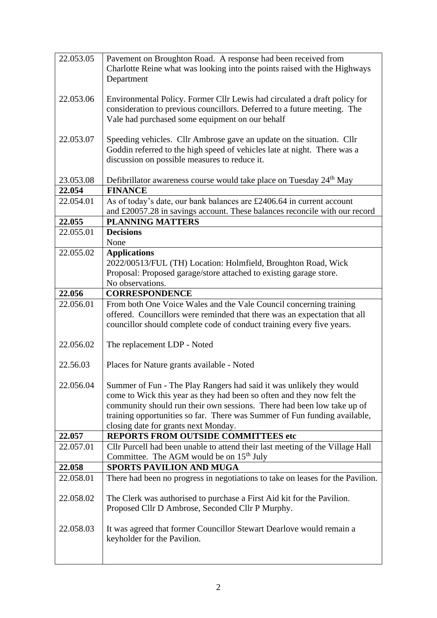| 22.053.05 | Pavement on Broughton Road. A response had been received from                   |
|-----------|---------------------------------------------------------------------------------|
|           | Charlotte Reine what was looking into the points raised with the Highways       |
|           | Department                                                                      |
|           |                                                                                 |
| 22.053.06 | Environmental Policy. Former Cllr Lewis had circulated a draft policy for       |
|           |                                                                                 |
|           | consideration to previous councillors. Deferred to a future meeting. The        |
|           | Vale had purchased some equipment on our behalf                                 |
|           |                                                                                 |
| 22.053.07 | Speeding vehicles. Cllr Ambrose gave an update on the situation. Cllr           |
|           | Goddin referred to the high speed of vehicles late at night. There was a        |
|           |                                                                                 |
|           | discussion on possible measures to reduce it.                                   |
|           |                                                                                 |
| 23.053.08 | Defibrillator awareness course would take place on Tuesday 24 <sup>th</sup> May |
| 22.054    | <b>FINANCE</b>                                                                  |
| 22.054.01 | As of today's date, our bank balances are £2406.64 in current account           |
|           | and £20057.28 in savings account. These balances reconcile with our record      |
| 22.055    | <b>PLANNING MATTERS</b>                                                         |
| 22.055.01 | <b>Decisions</b>                                                                |
|           | None                                                                            |
|           |                                                                                 |
| 22.055.02 | <b>Applications</b>                                                             |
|           | 2022/00513/FUL (TH) Location: Holmfield, Broughton Road, Wick                   |
|           | Proposal: Proposed garage/store attached to existing garage store.              |
|           | No observations.                                                                |
| 22.056    | <b>CORRESPONDENCE</b>                                                           |
| 22.056.01 | From both One Voice Wales and the Vale Council concerning training              |
|           |                                                                                 |
|           | offered. Councillors were reminded that there was an expectation that all       |
|           | councillor should complete code of conduct training every five years.           |
|           |                                                                                 |
| 22.056.02 | The replacement LDP - Noted                                                     |
|           |                                                                                 |
|           |                                                                                 |
| 22.56.03  |                                                                                 |
|           | Places for Nature grants available - Noted                                      |
|           |                                                                                 |
| 22.056.04 | Summer of Fun - The Play Rangers had said it was unlikely they would            |
|           | come to Wick this year as they had been so often and they now felt the          |
|           | community should run their own sessions. There had been low take up of          |
|           |                                                                                 |
|           | training opportunities so far. There was Summer of Fun funding available,       |
|           | closing date for grants next Monday.                                            |
| 22.057    | <b>REPORTS FROM OUTSIDE COMMITTEES etc</b>                                      |
| 22.057.01 | Cllr Purcell had been unable to attend their last meeting of the Village Hall   |
|           | Committee. The AGM would be on $15th$ July                                      |
| 22.058    | <b>SPORTS PAVILION AND MUGA</b>                                                 |
| 22.058.01 | There had been no progress in negotiations to take on leases for the Pavilion.  |
|           |                                                                                 |
| 22.058.02 | The Clerk was authorised to purchase a First Aid kit for the Pavilion.          |
|           | Proposed Cllr D Ambrose, Seconded Cllr P Murphy.                                |
|           |                                                                                 |
|           |                                                                                 |
| 22.058.03 | It was agreed that former Councillor Stewart Dearlove would remain a            |
|           | keyholder for the Pavilion.                                                     |
|           |                                                                                 |